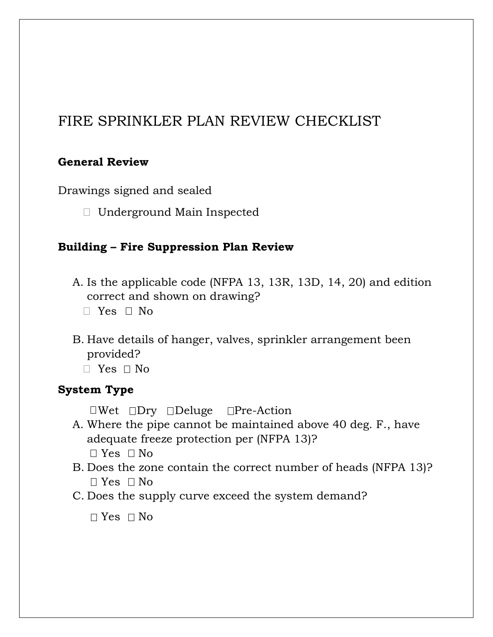# FIRE SPRINKLER PLAN REVIEW CHECKLIST

#### **General Review**

Drawings signed and sealed

Underground Main Inspected

#### **Building – Fire Suppression Plan Review**

- A. Is the applicable code (NFPA 13, 13R, 13D, 14, 20) and edition correct and shown on drawing?
	- $\Box$  Yes  $\Box$  No
- B. Have details of hanger, valves, sprinkler arrangement been provided?
	- $\Box$  Yes  $\Box$  No

#### **System Type**

 $\Box$ Wet  $\Box$ Dry  $\Box$ Deluge  $\Box$ Pre-Action

- A. Where the pipe cannot be maintained above 40 deg. F., have adequate freeze protection per (NFPA 13)?  $\Box$  Yes  $\Box$  No
- B. Does the zone contain the correct number of heads (NFPA 13)?  $\Box$  Yes  $\Box$  No
- C. Does the supply curve exceed the system demand?

 $\Box$  Yes  $\Box$  No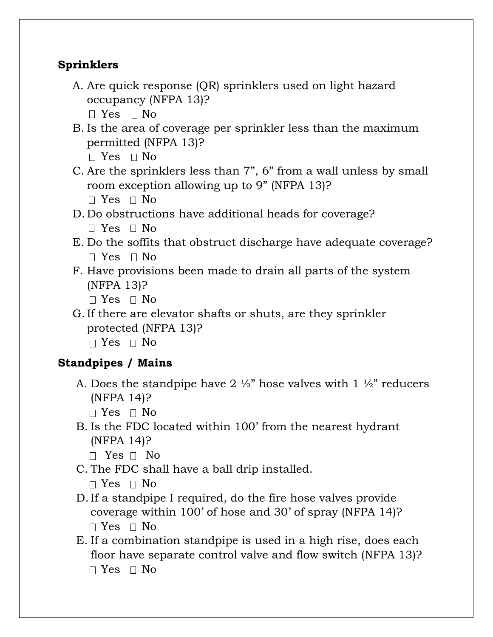### **Sprinklers**

- A. Are quick response (QR) sprinklers used on light hazard occupancy (NFPA 13)?  $\Box$  Yes  $\Box$  No
- B. Is the area of coverage per sprinkler less than the maximum permitted (NFPA 13)?  $\Box$  Yes  $\Box$  No
- C. Are the sprinklers less than 7", 6" from a wall unless by small room exception allowing up to 9" (NFPA 13)?  $\Box$  Yes  $\Box$  No
- D. Do obstructions have additional heads for coverage?  $\Box$  Yes  $\Box$  No
- E. Do the soffits that obstruct discharge have adequate coverage?  $\Box$  Yes  $\Box$  No
- F. Have provisions been made to drain all parts of the system (NFPA 13)?
	- $\Box$  Yes  $\Box$  No
- G.If there are elevator shafts or shuts, are they sprinkler protected (NFPA 13)?  $\Box$  Yes  $\Box$  No

# **Standpipes / Mains**

- A. Does the standpipe have 2  $\frac{1}{2}$  hose valves with 1  $\frac{1}{2}$  reducers (NFPA 14)?
	- $\Box$  Yes  $\Box$  No
- B. Is the FDC located within 100' from the nearest hydrant (NFPA 14)?
	- $\Box$  Yes  $\Box$  No
- C. The FDC shall have a ball drip installed.

```
\Box Yes \Box No
```
- D.If a standpipe I required, do the fire hose valves provide coverage within 100' of hose and 30' of spray (NFPA 14)?  $\Box$  Yes  $\Box$  No
- E. If a combination standpipe is used in a high rise, does each floor have separate control valve and flow switch (NFPA 13)?  $\Box$  Yes  $\Box$  No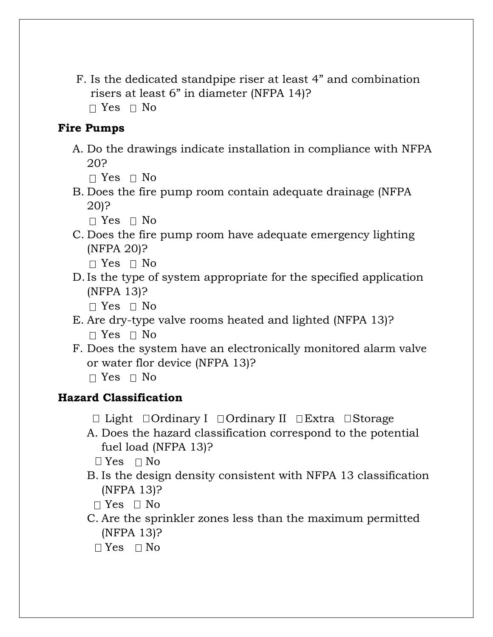F. Is the dedicated standpipe riser at least 4" and combination risers at least 6" in diameter (NFPA 14)?  $\Box$  Yes  $\Box$  No

### **Fire Pumps**

A. Do the drawings indicate installation in compliance with NFPA 20?

 $\Box$  Yes  $\Box$  No

B. Does the fire pump room contain adequate drainage (NFPA 20)?

 $\Box$  Yes  $\Box$  No

C. Does the fire pump room have adequate emergency lighting (NFPA 20)?

 $\Box$  Yes  $\Box$  No

D.Is the type of system appropriate for the specified application (NFPA 13)?

 $\Box$  Yes  $\Box$  No

- E. Are dry-type valve rooms heated and lighted (NFPA 13)?  $\Box$  Yes  $\Box$  No
- F. Does the system have an electronically monitored alarm valve or water flor device (NFPA 13)?

 $\Box$  Yes  $\Box$  No

### **Hazard Classification**

- $\Box$  Light  $\Box$  Ordinary I  $\Box$  Ordinary II  $\Box$  Extra  $\Box$  Storage
- A. Does the hazard classification correspond to the potential fuel load (NFPA 13)?

 $\Box$  Yes  $\Box$  No

B. Is the design density consistent with NFPA 13 classification (NFPA 13)?

 $\Box$  Yes  $\Box$  No

- C. Are the sprinkler zones less than the maximum permitted (NFPA 13)?
	- $\Box$  Yes  $\Box$  No